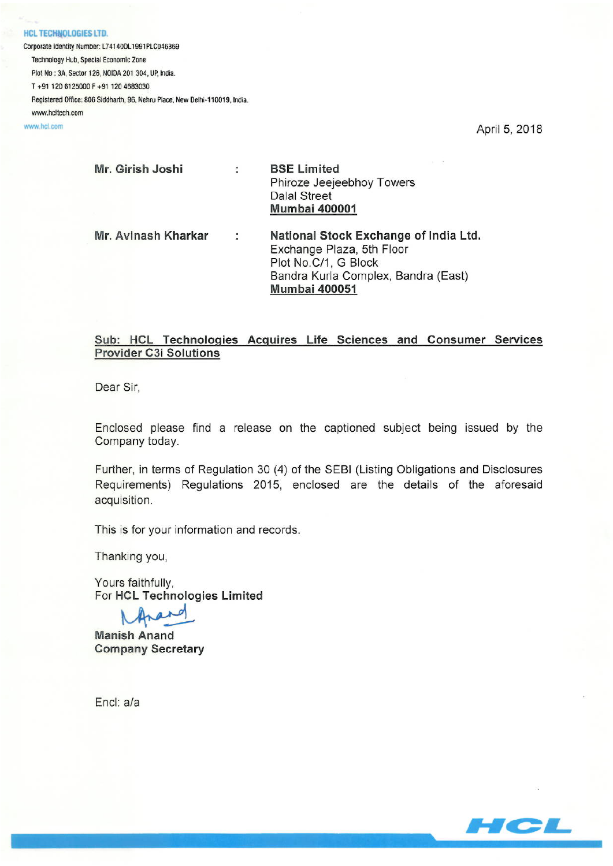**HCL TECHNOLOGIES LTD.** Corporate Identity Number: L74140DL1991PLC046369 Technology Hub, Special Economic Zone Plot No: 3A, Sector 126, NOIDA 201 304, UP, India. T +91 120 6125000 F +91 120 4683030 Registered Office: 806 Siddharth, 96, Nehru Place, New Delhi-110019, India. www.hcltech.com

www.hcl.com

April 5, 2018

| Mr. Girish Joshi    | $\ddot{\phantom{0}}$ | <b>BSE Limited</b><br>Phiroze Jeejeebhoy Towers<br><b>Dalal Street</b><br><b>Mumbai 400001</b>                                    |
|---------------------|----------------------|-----------------------------------------------------------------------------------------------------------------------------------|
| Mr. Avinash Kharkar | ÷                    | National Stock Exchange of India Ltd.<br>Exchange Plaza, 5th Floor<br>Plot No.C/1, G Block<br>Bandra Kurla Complex, Bandra (East) |

## Sub: HCL Technologies Acquires Life Sciences and Consumer Services **Provider C3i Solutions**

**Mumbai 400051** 

Dear Sir.

Enclosed please find a release on the captioned subject being issued by the Company today.

Further, in terms of Regulation 30 (4) of the SEBI (Listing Obligations and Disclosures Requirements) Regulations 2015, enclosed are the details of the aforesaid acquisition.

This is for your information and records.

Thanking you,

Yours faithfully. For HCL Technologies Limited

ard

**Manish Anand Company Secretary** 

Encl: a/a

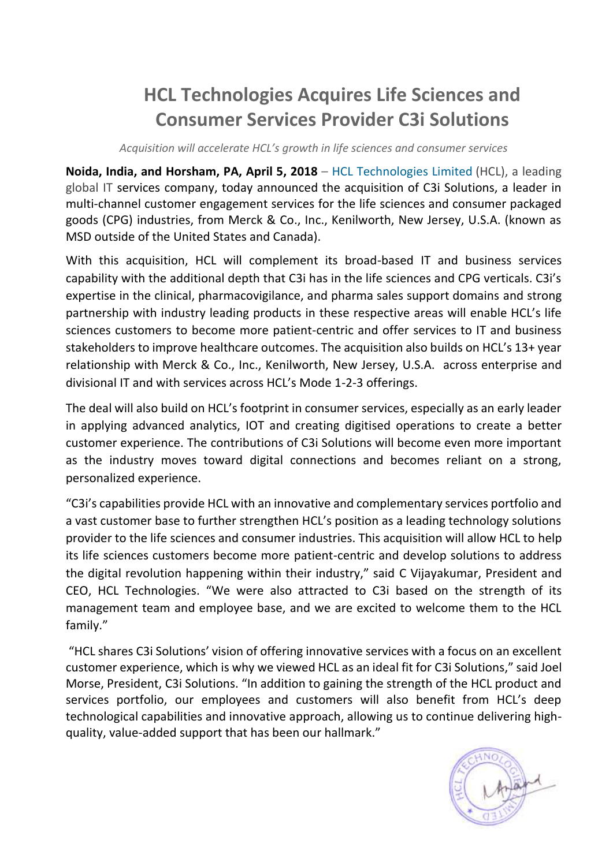# **HCL Technologies Acquires Life Sciences and Consumer Services Provider C3i Solutions**

*Acquisition will accelerate HCL's growth in life sciences and consumer services* 

**Noida, India, and Horsham, PA, April 5, 2018** – [HCL Technologies Limited](https://www.hcltech.com/) (HCL), a leading global IT services company, today announced the acquisition of C3i Solutions, a leader in multi-channel customer engagement services for the life sciences and consumer packaged goods (CPG) industries, from Merck & Co., Inc., Kenilworth, New Jersey, U.S.A. (known as MSD outside of the United States and Canada).

With this acquisition, HCL will complement its broad-based IT and business services capability with the additional depth that C3i has in the life sciences and CPG verticals. C3i's expertise in the clinical, pharmacovigilance, and pharma sales support domains and strong partnership with industry leading products in these respective areas will enable HCL's life sciences customers to become more patient-centric and offer services to IT and business stakeholders to improve healthcare outcomes. The acquisition also builds on HCL's 13+ year relationship with Merck & Co., Inc., Kenilworth, New Jersey, U.S.A. across enterprise and divisional IT and with services across HCL's Mode 1-2-3 offerings.

The deal will also build on HCL's footprint in consumer services, especially as an early leader in applying advanced analytics, IOT and creating digitised operations to create a better customer experience. The contributions of C3i Solutions will become even more important as the industry moves toward digital connections and becomes reliant on a strong, personalized experience.

"C3i's capabilities provide HCL with an innovative and complementary services portfolio and a vast customer base to further strengthen HCL's position as a leading technology solutions provider to the life sciences and consumer industries. This acquisition will allow HCL to help its life sciences customers become more patient-centric and develop solutions to address the digital revolution happening within their industry," said C Vijayakumar, President and CEO, HCL Technologies. "We were also attracted to C3i based on the strength of its management team and employee base, and we are excited to welcome them to the HCL family."

"HCL shares C3i Solutions' vision of offering innovative services with a focus on an excellent customer experience, which is why we viewed HCL as an ideal fit for C3i Solutions," said Joel Morse, President, C3i Solutions. "In addition to gaining the strength of the HCL product and services portfolio, our employees and customers will also benefit from HCL's deep technological capabilities and innovative approach, allowing us to continue delivering highquality, value-added support that has been our hallmark."

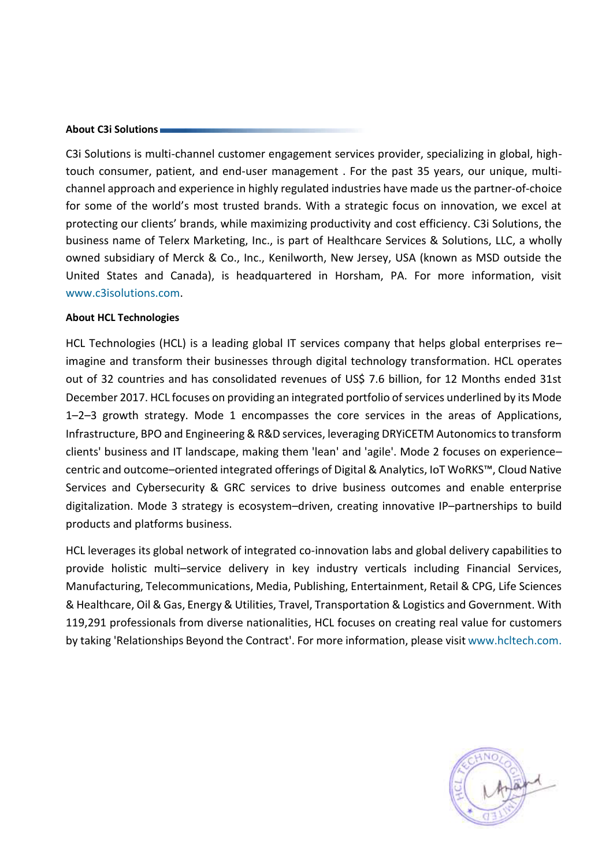#### **About C3i Solutions**

C3i Solutions is multi-channel customer engagement services provider, specializing in global, hightouch consumer, patient, and end-user management . For the past 35 years, our unique, multichannel approach and experience in highly regulated industries have made us the partner-of-choice for some of the world's most trusted brands. With a strategic focus on innovation, we excel at protecting our clients' brands, while maximizing productivity and cost efficiency. C3i Solutions, the business name of Telerx Marketing, Inc., is part of Healthcare Services & Solutions, LLC, a wholly owned subsidiary of Merck & Co., Inc., Kenilworth, New Jersey, USA (known as MSD outside the United States and Canada), is headquartered in Horsham, PA. For more information, visit [www.c3isolutions.com.](http://www.c3isolutions.com/)

### **About HCL Technologies**

HCL Technologies (HCL) is a leading global IT services company that helps global enterprises re– imagine and transform their businesses through digital technology transformation. HCL operates out of 32 countries and has consolidated revenues of US\$ 7.6 billion, for 12 Months ended 31st December 2017. HCL focuses on providing an integrated portfolio of services underlined by its Mode 1–2–3 growth strategy. Mode 1 encompasses the core services in the areas of Applications, Infrastructure, BPO and Engineering & R&D services, leveraging DRYiCETM Autonomics to transform clients' business and IT landscape, making them 'lean' and 'agile'. Mode 2 focuses on experience– centric and outcome–oriented integrated offerings of Digital & Analytics, IoT WoRKS™, Cloud Native Services and Cybersecurity & GRC services to drive business outcomes and enable enterprise digitalization. Mode 3 strategy is ecosystem–driven, creating innovative IP–partnerships to build products and platforms business.

HCL leverages its global network of integrated co-innovation labs and global delivery capabilities to provide holistic multi–service delivery in key industry verticals including Financial Services, Manufacturing, Telecommunications, Media, Publishing, Entertainment, Retail & CPG, Life Sciences & Healthcare, Oil & Gas, Energy & Utilities, Travel, Transportation & Logistics and Government. With 119,291 professionals from diverse nationalities, HCL focuses on creating real value for customers by taking 'Relationships Beyond the Contract'. For more information, please visit [www.hcltech.com.](https://www.hcltech.com/)

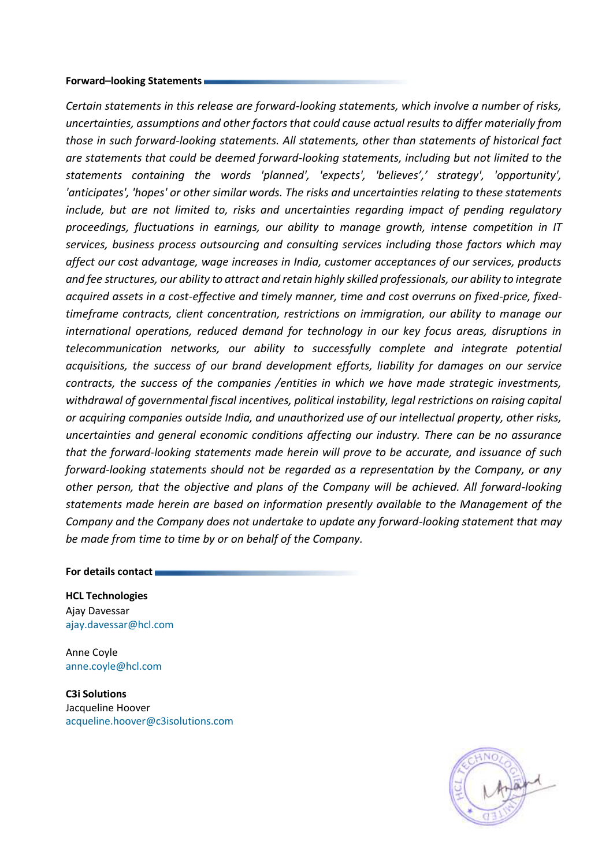#### **Forward–looking Statements**

*Certain statements in this release are forward-looking statements, which involve a number of risks, uncertainties, assumptions and other factors that could cause actual results to differ materially from those in such forward-looking statements. All statements, other than statements of historical fact are statements that could be deemed forward-looking statements, including but not limited to the statements containing the words 'planned', 'expects', 'believes',' strategy', 'opportunity', 'anticipates', 'hopes' or other similar words. The risks and uncertainties relating to these statements include, but are not limited to, risks and uncertainties regarding impact of pending regulatory proceedings, fluctuations in earnings, our ability to manage growth, intense competition in IT services, business process outsourcing and consulting services including those factors which may affect our cost advantage, wage increases in India, customer acceptances of our services, products and fee structures, our ability to attract and retain highly skilled professionals, our ability to integrate acquired assets in a cost-effective and timely manner, time and cost overruns on fixed-price, fixedtimeframe contracts, client concentration, restrictions on immigration, our ability to manage our international operations, reduced demand for technology in our key focus areas, disruptions in telecommunication networks, our ability to successfully complete and integrate potential acquisitions, the success of our brand development efforts, liability for damages on our service contracts, the success of the companies /entities in which we have made strategic investments, withdrawal of governmental fiscal incentives, political instability, legal restrictions on raising capital or acquiring companies outside India, and unauthorized use of our intellectual property, other risks, uncertainties and general economic conditions affecting our industry. There can be no assurance that the forward-looking statements made herein will prove to be accurate, and issuance of such forward-looking statements should not be regarded as a representation by the Company, or any other person, that the objective and plans of the Company will be achieved. All forward-looking statements made herein are based on information presently available to the Management of the Company and the Company does not undertake to update any forward-looking statement that may be made from time to time by or on behalf of the Company.*

#### **For details contact**

**HCL Technologies** Ajay Davessar ajay.davessar@hcl.com

Anne Coyle [anne.coyle@hcl.com](mailto:meenakshi.benjwal@hcl.com)

**C3i Solutions** Jacqueline Hoover [acqueline.hoover@c3isolutions.com](mailto:acqueline.hoover@c3isolutions.com)

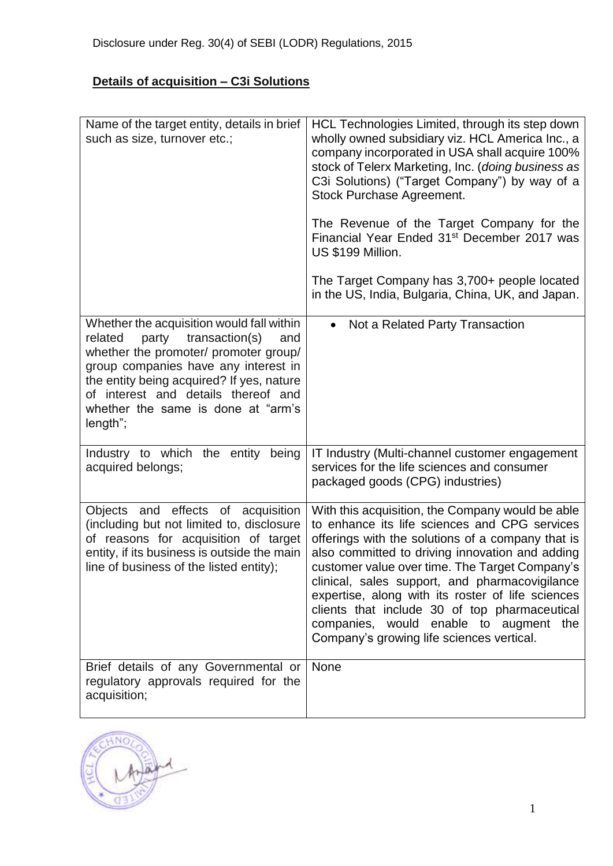# **Details of acquisition – C3i Solutions**

| Name of the target entity, details in brief<br>such as size, turnover etc.;                                                                                                                                                                                                                                   | HCL Technologies Limited, through its step down<br>wholly owned subsidiary viz. HCL America Inc., a<br>company incorporated in USA shall acquire 100%<br>stock of Telerx Marketing, Inc. (doing business as<br>C3i Solutions) ("Target Company") by way of a<br>Stock Purchase Agreement.<br>The Revenue of the Target Company for the<br>Financial Year Ended 31 <sup>st</sup> December 2017 was<br>US \$199 Million.<br>The Target Company has 3,700+ people located<br>in the US, India, Bulgaria, China, UK, and Japan. |
|---------------------------------------------------------------------------------------------------------------------------------------------------------------------------------------------------------------------------------------------------------------------------------------------------------------|-----------------------------------------------------------------------------------------------------------------------------------------------------------------------------------------------------------------------------------------------------------------------------------------------------------------------------------------------------------------------------------------------------------------------------------------------------------------------------------------------------------------------------|
| Whether the acquisition would fall within<br>related<br>transaction(s)<br>party<br>and<br>whether the promoter/ promoter group/<br>group companies have any interest in<br>the entity being acquired? If yes, nature<br>of interest and details thereof and<br>whether the same is done at "arm's<br>length"; | Not a Related Party Transaction<br>$\bullet$                                                                                                                                                                                                                                                                                                                                                                                                                                                                                |
| Industry to which the entity being<br>acquired belongs;                                                                                                                                                                                                                                                       | IT Industry (Multi-channel customer engagement<br>services for the life sciences and consumer<br>packaged goods (CPG) industries)                                                                                                                                                                                                                                                                                                                                                                                           |
| and effects of acquisition<br>Objects<br>(including but not limited to, disclosure<br>of reasons for acquisition of target<br>entity, if its business is outside the main<br>line of business of the listed entity);                                                                                          | With this acquisition, the Company would be able<br>to enhance its life sciences and CPG services<br>offerings with the solutions of a company that is<br>also committed to driving innovation and adding<br>customer value over time. The Target Company's<br>clinical, sales support, and pharmacovigilance<br>expertise, along with its roster of life sciences<br>clients that include 30 of top pharmaceutical<br>companies, would enable to augment the<br>Company's growing life sciences vertical.                  |
| Brief details of any Governmental or<br>regulatory approvals required for the<br>acquisition;                                                                                                                                                                                                                 | None                                                                                                                                                                                                                                                                                                                                                                                                                                                                                                                        |